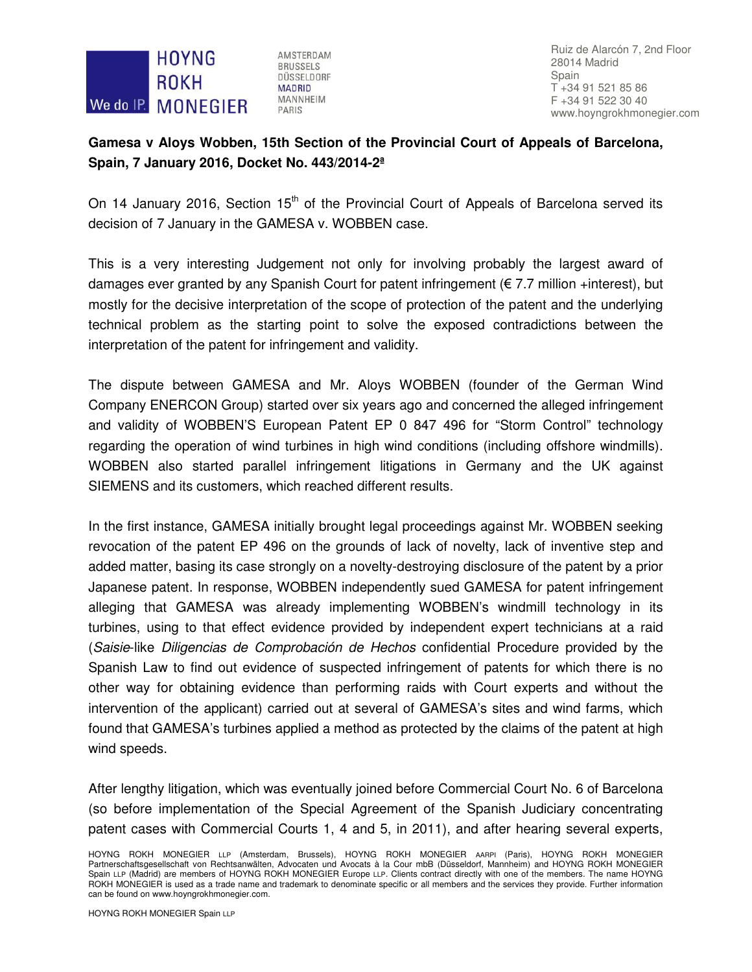

AMSTERDAM **BRUSSELS** DÜSSELDORF **MADRID MANNHEIM** PARIS

Ruiz de Alarcón 7, 2nd Floor 28014 Madrid Spain T +34 91 521 85 86 F +34 91 522 30 40 www.hoyngrokhmonegier.com

## **Gamesa v Aloys Wobben, 15th Section of the Provincial Court of Appeals of Barcelona, Spain, 7 January 2016, Docket No. 443/2014-2ª**

On 14 January 2016, Section 15<sup>th</sup> of the Provincial Court of Appeals of Barcelona served its decision of 7 January in the GAMESA v. WOBBEN case.

This is a very interesting Judgement not only for involving probably the largest award of damages ever granted by any Spanish Court for patent infringement ( $\epsilon$  7.7 million +interest), but mostly for the decisive interpretation of the scope of protection of the patent and the underlying technical problem as the starting point to solve the exposed contradictions between the interpretation of the patent for infringement and validity.

The dispute between GAMESA and Mr. Aloys WOBBEN (founder of the German Wind Company ENERCON Group) started over six years ago and concerned the alleged infringement and validity of WOBBEN'S European Patent EP 0 847 496 for "Storm Control" technology regarding the operation of wind turbines in high wind conditions (including offshore windmills). WOBBEN also started parallel infringement litigations in Germany and the UK against SIEMENS and its customers, which reached different results.

In the first instance, GAMESA initially brought legal proceedings against Mr. WOBBEN seeking revocation of the patent EP 496 on the grounds of lack of novelty, lack of inventive step and added matter, basing its case strongly on a novelty-destroying disclosure of the patent by a prior Japanese patent. In response, WOBBEN independently sued GAMESA for patent infringement alleging that GAMESA was already implementing WOBBEN's windmill technology in its turbines, using to that effect evidence provided by independent expert technicians at a raid (Saisie-like Diligencias de Comprobación de Hechos confidential Procedure provided by the Spanish Law to find out evidence of suspected infringement of patents for which there is no other way for obtaining evidence than performing raids with Court experts and without the intervention of the applicant) carried out at several of GAMESA's sites and wind farms, which found that GAMESA's turbines applied a method as protected by the claims of the patent at high wind speeds.

After lengthy litigation, which was eventually joined before Commercial Court No. 6 of Barcelona (so before implementation of the Special Agreement of the Spanish Judiciary concentrating patent cases with Commercial Courts 1, 4 and 5, in 2011), and after hearing several experts,

HOYNG ROKH MONEGIER LLP (Amsterdam, Brussels), HOYNG ROKH MONEGIER AARPI (Paris), HOYNG ROKH MONEGIER Partnerschaftsgesellschaft von Rechtsanwälten, Advocaten und Avocats à la Cour mbB (Düsseldorf, Mannheim) and HOYNG ROKH MONEGIER Spain LLP (Madrid) are members of HOYNG ROKH MONEGIER Europe LLP. Clients contract directly with one of the members. The name HOYNG ROKH MONEGIER is used as a trade name and trademark to denominate specific or all members and the services they provide. Further information can be found on www.hoyngrokhmonegier.com.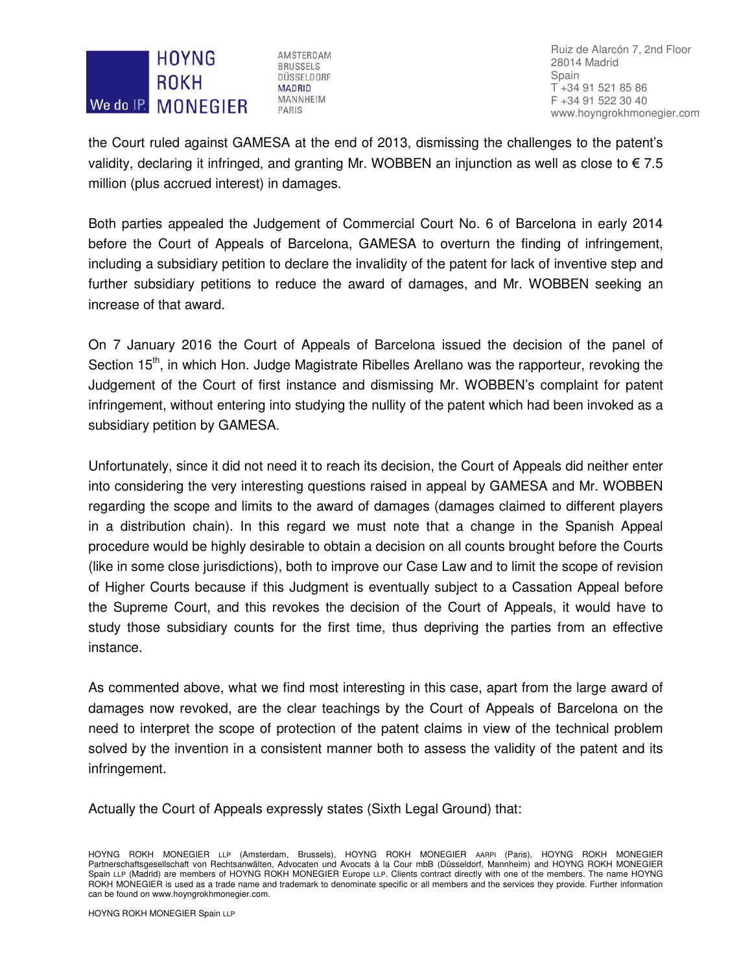## **HOYNG ROKH** We do IP. MONEGIER

AMSTERDAM **BRUSSELS** DÜSSELDORF **MADRID MANNHEIM** PARIS

Ruiz de Alarcón 7, 2nd Floor 28014 Madrid Spain T +34 91 521 85 86 F +34 91 522 30 40 www.hoyngrokhmonegier.com

the Court ruled against GAMESA at the end of 2013, dismissing the challenges to the patent's validity, declaring it infringed, and granting Mr. WOBBEN an injunction as well as close to  $\epsilon$  7.5 million (plus accrued interest) in damages.

Both parties appealed the Judgement of Commercial Court No. 6 of Barcelona in early 2014 before the Court of Appeals of Barcelona, GAMESA to overturn the finding of infringement, including a subsidiary petition to declare the invalidity of the patent for lack of inventive step and further subsidiary petitions to reduce the award of damages, and Mr. WOBBEN seeking an increase of that award.

On 7 January 2016 the Court of Appeals of Barcelona issued the decision of the panel of Section 15<sup>th</sup>, in which Hon. Judge Magistrate Ribelles Arellano was the rapporteur, revoking the Judgement of the Court of first instance and dismissing Mr. WOBBEN's complaint for patent infringement, without entering into studying the nullity of the patent which had been invoked as a subsidiary petition by GAMESA.

Unfortunately, since it did not need it to reach its decision, the Court of Appeals did neither enter into considering the very interesting questions raised in appeal by GAMESA and Mr. WOBBEN regarding the scope and limits to the award of damages (damages claimed to different players in a distribution chain). In this regard we must note that a change in the Spanish Appeal procedure would be highly desirable to obtain a decision on all counts brought before the Courts (like in some close jurisdictions), both to improve our Case Law and to limit the scope of revision of Higher Courts because if this Judgment is eventually subject to a Cassation Appeal before the Supreme Court, and this revokes the decision of the Court of Appeals, it would have to study those subsidiary counts for the first time, thus depriving the parties from an effective instance.

As commented above, what we find most interesting in this case, apart from the large award of damages now revoked, are the clear teachings by the Court of Appeals of Barcelona on the need to interpret the scope of protection of the patent claims in view of the technical problem solved by the invention in a consistent manner both to assess the validity of the patent and its infringement.

Actually the Court of Appeals expressly states (Sixth Legal Ground) that:

HOYNG ROKH MONEGIER LLP (Amsterdam, Brussels), HOYNG ROKH MONEGIER AARPI (Paris), HOYNG ROKH MONEGIER Partnerschaftsgesellschaft von Rechtsanwälten, Advocaten und Avocats à la Cour mbB (Düsseldorf, Mannheim) and HOYNG ROKH MONEGIER Spain LLP (Madrid) are members of HOYNG ROKH MONEGIER Europe LLP. Clients contract directly with one of the members. The name HOYNG ROKH MONEGIER is used as a trade name and trademark to denominate specific or all members and the services they provide. Further information can be found on www.hoyngrokhmonegier.com.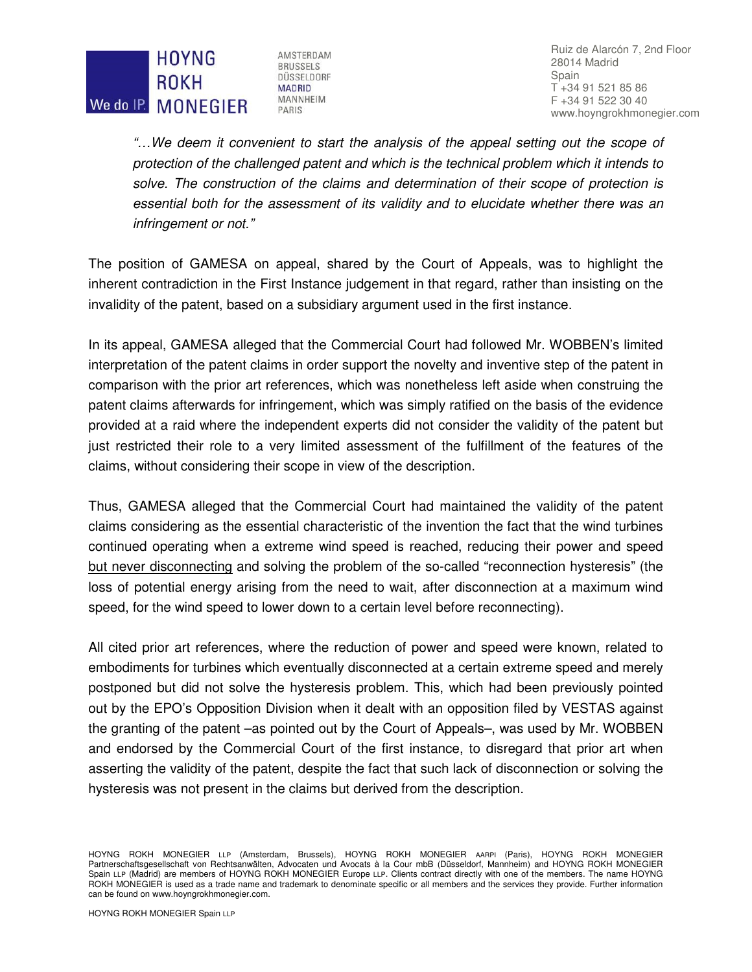## **HOYNG ROKH** We do IP. MONEGIER

AMSTERDAM **BRUSSELS** DÜSSELDORF **MADRID MANNHEIM** PARIS

Ruiz de Alarcón 7, 2nd Floor 28014 Madrid Spain T +34 91 521 85 86 F +34 91 522 30 40 www.hoyngrokhmonegier.com

"…We deem it convenient to start the analysis of the appeal setting out the scope of protection of the challenged patent and which is the technical problem which it intends to solve. The construction of the claims and determination of their scope of protection is essential both for the assessment of its validity and to elucidate whether there was an infringement or not."

The position of GAMESA on appeal, shared by the Court of Appeals, was to highlight the inherent contradiction in the First Instance judgement in that regard, rather than insisting on the invalidity of the patent, based on a subsidiary argument used in the first instance.

In its appeal, GAMESA alleged that the Commercial Court had followed Mr. WOBBEN's limited interpretation of the patent claims in order support the novelty and inventive step of the patent in comparison with the prior art references, which was nonetheless left aside when construing the patent claims afterwards for infringement, which was simply ratified on the basis of the evidence provided at a raid where the independent experts did not consider the validity of the patent but just restricted their role to a very limited assessment of the fulfillment of the features of the claims, without considering their scope in view of the description.

Thus, GAMESA alleged that the Commercial Court had maintained the validity of the patent claims considering as the essential characteristic of the invention the fact that the wind turbines continued operating when a extreme wind speed is reached, reducing their power and speed but never disconnecting and solving the problem of the so-called "reconnection hysteresis" (the loss of potential energy arising from the need to wait, after disconnection at a maximum wind speed, for the wind speed to lower down to a certain level before reconnecting).

All cited prior art references, where the reduction of power and speed were known, related to embodiments for turbines which eventually disconnected at a certain extreme speed and merely postponed but did not solve the hysteresis problem. This, which had been previously pointed out by the EPO's Opposition Division when it dealt with an opposition filed by VESTAS against the granting of the patent –as pointed out by the Court of Appeals–, was used by Mr. WOBBEN and endorsed by the Commercial Court of the first instance, to disregard that prior art when asserting the validity of the patent, despite the fact that such lack of disconnection or solving the hysteresis was not present in the claims but derived from the description.

HOYNG ROKH MONEGIER LLP (Amsterdam, Brussels), HOYNG ROKH MONEGIER AARPI (Paris), HOYNG ROKH MONEGIER Partnerschaftsgesellschaft von Rechtsanwälten, Advocaten und Avocats à la Cour mbB (Düsseldorf, Mannheim) and HOYNG ROKH MONEGIER Spain LLP (Madrid) are members of HOYNG ROKH MONEGIER Europe LLP. Clients contract directly with one of the members. The name HOYNG ROKH MONEGIER is used as a trade name and trademark to denominate specific or all members and the services they provide. Further information can be found on www.hoyngrokhmonegier.com.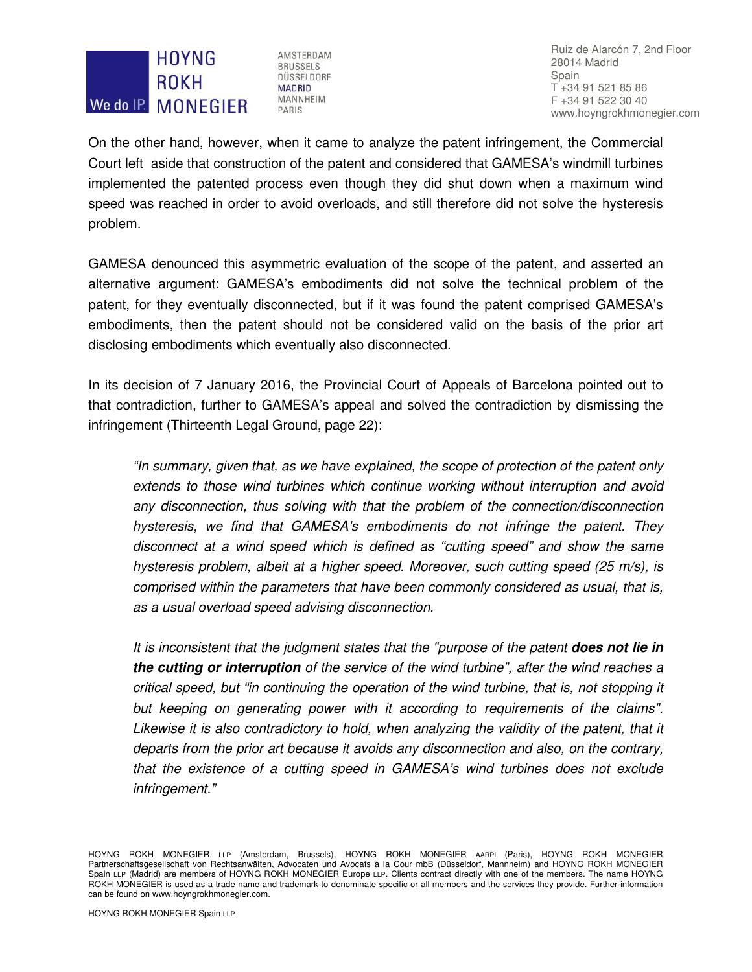## **HOYNG ROKH** We do IP. MONEGIER

AMSTERDAM **BRUSSELS** DÜSSELDORF **MADRID** MANNHEIM PARIS

Ruiz de Alarcón 7, 2nd Floor 28014 Madrid Spain T +34 91 521 85 86 F +34 91 522 30 40 www.hoyngrokhmonegier.com

On the other hand, however, when it came to analyze the patent infringement, the Commercial Court left aside that construction of the patent and considered that GAMESA's windmill turbines implemented the patented process even though they did shut down when a maximum wind speed was reached in order to avoid overloads, and still therefore did not solve the hysteresis problem.

GAMESA denounced this asymmetric evaluation of the scope of the patent, and asserted an alternative argument: GAMESA's embodiments did not solve the technical problem of the patent, for they eventually disconnected, but if it was found the patent comprised GAMESA's embodiments, then the patent should not be considered valid on the basis of the prior art disclosing embodiments which eventually also disconnected.

In its decision of 7 January 2016, the Provincial Court of Appeals of Barcelona pointed out to that contradiction, further to GAMESA's appeal and solved the contradiction by dismissing the infringement (Thirteenth Legal Ground, page 22):

"In summary, given that, as we have explained, the scope of protection of the patent only extends to those wind turbines which continue working without interruption and avoid any disconnection, thus solving with that the problem of the connection/disconnection hysteresis, we find that GAMESA's embodiments do not infringe the patent. They disconnect at a wind speed which is defined as "cutting speed" and show the same hysteresis problem, albeit at a higher speed. Moreover, such cutting speed (25 m/s), is comprised within the parameters that have been commonly considered as usual, that is, as a usual overload speed advising disconnection.

It is inconsistent that the judgment states that the "purpose of the patent **does not lie in the cutting or interruption** of the service of the wind turbine", after the wind reaches a critical speed, but "in continuing the operation of the wind turbine, that is, not stopping it but keeping on generating power with it according to requirements of the claims". Likewise it is also contradictory to hold, when analyzing the validity of the patent, that it departs from the prior art because it avoids any disconnection and also, on the contrary, that the existence of a cutting speed in GAMESA's wind turbines does not exclude infringement."

HOYNG ROKH MONEGIER LLP (Amsterdam, Brussels), HOYNG ROKH MONEGIER AARPI (Paris), HOYNG ROKH MONEGIER Partnerschaftsgesellschaft von Rechtsanwälten, Advocaten und Avocats à la Cour mbB (Düsseldorf, Mannheim) and HOYNG ROKH MONEGIER Spain LLP (Madrid) are members of HOYNG ROKH MONEGIER Europe LLP. Clients contract directly with one of the members. The name HOYNG ROKH MONEGIER is used as a trade name and trademark to denominate specific or all members and the services they provide. Further information can be found on www.hoyngrokhmonegier.com.